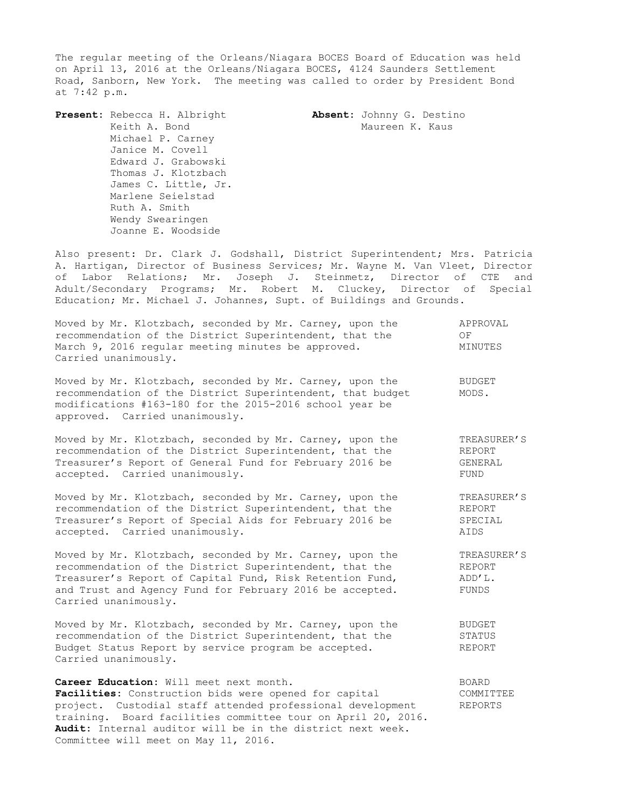The regular meeting of the Orleans/Niagara BOCES Board of Education was held on April 13, 2016 at the Orleans/Niagara BOCES, 4124 Saunders Settlement Road, Sanborn, New York. The meeting was called to order by President Bond at 7:42 p.m.

**Present:** Rebecca H. Albright **Absent:** Johnny G. Destino Keith A. Bond<br>
Maureen K. Kaus Michael P. Carney Janice M. Covell Edward J. Grabowski Thomas J. Klotzbach James C. Little, Jr. Marlene Seielstad Ruth A. Smith Wendy Swearingen Joanne E. Woodside

Also present: Dr. Clark J. Godshall, District Superintendent; Mrs. Patricia A. Hartigan, Director of Business Services; Mr. Wayne M. Van Vleet, Director of Labor Relations; Mr. Joseph J. Steinmetz, Director of CTE and Adult/Secondary Programs; Mr. Robert M. Cluckey, Director of Special Education; Mr. Michael J. Johannes, Supt. of Buildings and Grounds.

| Moved by Mr. Klotzbach, seconded by Mr. Carney, upon the<br>recommendation of the District Superintendent, that the<br>March 9, 2016 regular meeting minutes be approved.<br>Carried unanimously.                                                                   | APPROVAL<br>OF<br>MINUTES                       |
|---------------------------------------------------------------------------------------------------------------------------------------------------------------------------------------------------------------------------------------------------------------------|-------------------------------------------------|
| Moved by Mr. Klotzbach, seconded by Mr. Carney, upon the<br>recommendation of the District Superintendent, that budget<br>modifications #163-180 for the 2015-2016 school year be<br>approved. Carried unanimously.                                                 | BUDGET<br>MODS.                                 |
| Moved by Mr. Klotzbach, seconded by Mr. Carney, upon the<br>recommendation of the District Superintendent, that the<br>Treasurer's Report of General Fund for February 2016 be<br>accepted. Carried unanimously.                                                    | TREASURER'S<br><b>REPORT</b><br>GENERAL<br>FUND |
| Moved by Mr. Klotzbach, seconded by Mr. Carney, upon the<br>recommendation of the District Superintendent, that the<br>Treasurer's Report of Special Aids for February 2016 be<br>accepted. Carried unanimously.                                                    | TREASURER'S<br>REPORT<br>SPECIAL<br>AIDS        |
| Moved by Mr. Klotzbach, seconded by Mr. Carney, upon the<br>recommendation of the District Superintendent, that the<br>Treasurer's Report of Capital Fund, Risk Retention Fund,<br>and Trust and Agency Fund for February 2016 be accepted.<br>Carried unanimously. | TREASURER'S<br>REPORT<br>ADD'L.<br>FUNDS        |

Moved by Mr. Klotzbach, seconded by Mr. Carney, upon the BUDGET recommendation of the District Superintendent, that the STATUS Budget Status Report by service program be accepted. REPORT Carried unanimously.

**Career Education:** Will meet next month. The manufacturer of the BOARD Facilities: Construction bids were opened for capital COMMITTEE project. Custodial staff attended professional development REPORTS training. Board facilities committee tour on April 20, 2016. **Audit:** Internal auditor will be in the district next week. Committee will meet on May 11, 2016.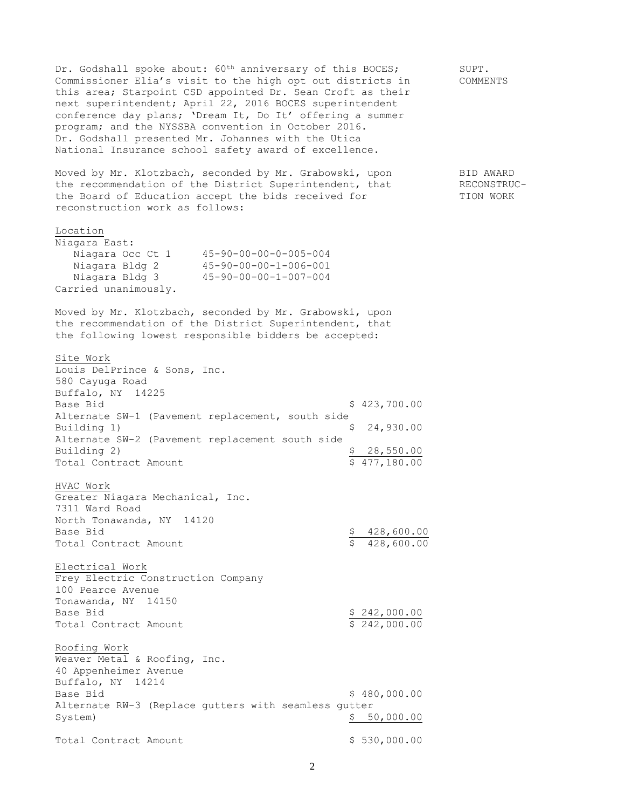Dr. Godshall spoke about: 60<sup>th</sup> anniversary of this BOCES; SUPT. Commissioner Elia's visit to the high opt out districts in COMMENTS this area; Starpoint CSD appointed Dr. Sean Croft as their next superintendent; April 22, 2016 BOCES superintendent conference day plans; 'Dream It, Do It' offering a summer program; and the NYSSBA convention in October 2016. Dr. Godshall presented Mr. Johannes with the Utica National Insurance school safety award of excellence. Moved by Mr. Klotzbach, seconded by Mr. Grabowski, upon BID AWARD the recommendation of the District Superintendent, that RECONSTRUCthe Board of Education accept the bids received for TION WORK reconstruction work as follows: Location Niagara East: Niagara Occ Ct 1 45-90-00-00-0-005-004<br>Niagara Bldg 2 45-90-00-00-1-006-001<br>Niagara Bldg 3 45-90-00-00-1-007-004 Niagara Bldg 2 45-90-00-00-1-006-001 Niagara Bldg 3 45-90-00-00-1-007-004 Carried unanimously. Moved by Mr. Klotzbach, seconded by Mr. Grabowski, upon the recommendation of the District Superintendent, that the following lowest responsible bidders be accepted: Site Work Louis DelPrince & Sons, Inc. 580 Cayuga Road Buffalo, NY 14225 Base Bid \$ 423,700.00 Alternate SW-1 (Pavement replacement, south side Building 1)  $\qquad \qquad$  8.24,930.00 Alternate SW-2 (Pavement replacement south side Building 2) 3 28,550.00 Total Contract Amount  $\begin{array}{ccc} 5 & 477,180.00 \end{array}$ HVAC Work Greater Niagara Mechanical, Inc. 7311 Ward Road North Tonawanda, NY 14120 Base Bid  $$ 428,600.00$ Total Contract Amount  $\qquad \qquad$  \$ 428,600.00 Electrical Work Frey Electric Construction Company 100 Pearce Avenue Tonawanda, NY 14150 Base Bid  $$ 242,000.00$ Total Contract Amount  $\frac{1}{2}$   $\frac{242,000.00}{2}$ Roofing Work Weaver Metal & Roofing, Inc. 40 Appenheimer Avenue Buffalo, NY 14214 Base Bid \$ 480,000.00 Alternate RW-3 (Replace gutters with seamless gutter System) \$ 50,000.00 Total Contract Amount \$ 530,000.00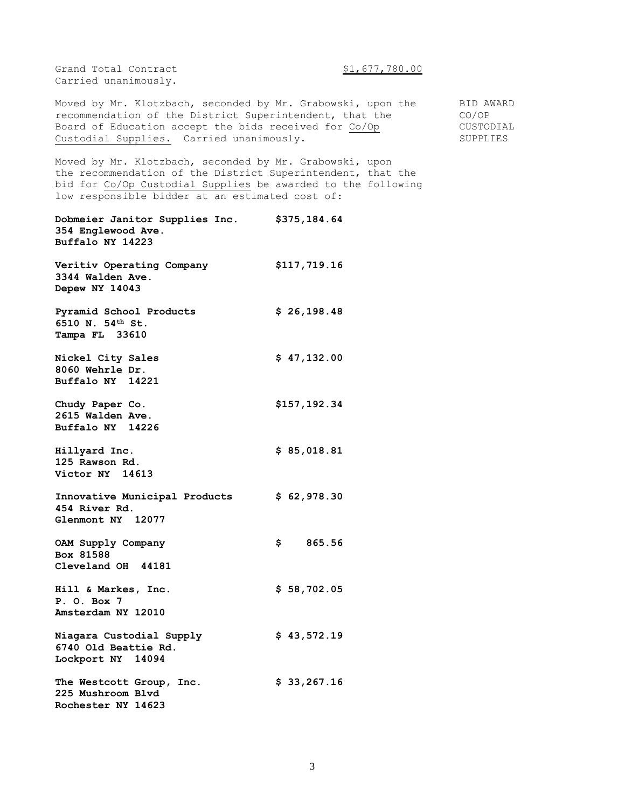Grand Total Contract  $$1,677,780.00$ Carried unanimously.

Moved by Mr. Klotzbach, seconded by Mr. Grabowski, upon the BID AWARD recommendation of the District Superintendent, that the CO/OP Board of Education accept the bids received for Co/Op CUSTODIAL Custodial Supplies. Carried unanimously. SUPPLIES

Moved by Mr. Klotzbach, seconded by Mr. Grabowski, upon the recommendation of the District Superintendent, that the bid for Co/Op Custodial Supplies be awarded to the following low responsible bidder at an estimated cost of:

**Dobmeier Janitor Supplies Inc. \$375,184.64 354 Englewood Ave. Buffalo NY 14223 Veritiv Operating Company \$117,719.16 3344 Walden Ave. Depew NY 14043 Pyramid School Products \$ 26,198.48 6510 N. 54th St. Tampa FL 33610 Nickel City Sales** \$ 47,132.00 **8060 Wehrle Dr. Buffalo NY 14221 Chudy Paper Co. \$157,192.34 2615 Walden Ave. Buffalo NY 14226 Hillyard Inc. \$ 85,018.81 125 Rawson Rd. Victor NY 14613 Innovative Municipal Products \$ 62,978.30 454 River Rd. Glenmont NY 12077 OAM Supply Company \$ 865.56 Box 81588 Cleveland OH 44181 Hill & Markes, Inc. \$ 58,702.05 P. O. Box 7 Amsterdam NY 12010 Niagara Custodial Supply \$ 43,572.19 6740 Old Beattie Rd. Lockport NY 14094 The Westcott Group, Inc. \$ 33,267.16 225 Mushroom Blvd Rochester NY 14623**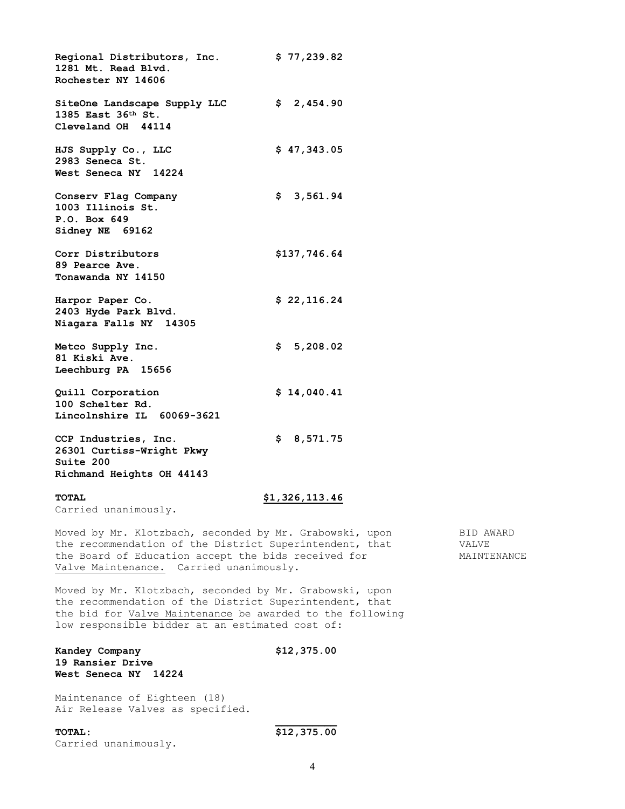**Regional Distributors, Inc. \$ 77,239.82 1281 Mt. Read Blvd. Rochester NY 14606 SiteOne Landscape Supply LLC \$ 2,454.90 1385 East 36th St. Cleveland OH 44114 HJS Supply Co., LLC \$ 47,343.05 2983 Seneca St. West Seneca NY 14224 Conserv Flag Company \$ 3,561.94 1003 Illinois St. P.O. Box 649 Sidney NE 69162 Corr Distributors \$137,746.64 89 Pearce Ave. Tonawanda NY 14150 Harpor Paper Co. \$ 22,116.24 2403 Hyde Park Blvd. Niagara Falls NY 14305 Metco Supply Inc. \$ 5,208.02 81 Kiski Ave. Leechburg PA 15656 Quill Corporation \$ 14,040.41 100 Schelter Rd. Lincolnshire IL 60069-3621 CCP Industries, Inc. \$ 8,571.75 26301 Curtiss-Wright Pkwy Suite 200 Richmand Heights OH 44143**

Carried unanimously.

### **TOTAL \$1,326,113.46**

Moved by Mr. Klotzbach, seconded by Mr. Grabowski, upon BID AWARD the recommendation of the District Superintendent, that VALVE the Board of Education accept the bids received for MAINTENANCE Valve Maintenance. Carried unanimously.

Moved by Mr. Klotzbach, seconded by Mr. Grabowski, upon the recommendation of the District Superintendent, that the bid for Valve Maintenance be awarded to the following low responsible bidder at an estimated cost of:

**Kandey Company \$12,375.00 19 Ransier Drive West Seneca NY 14224**

Maintenance of Eighteen (18) Air Release Valves as specified.

**TOTAL: \$12,375.00** Carried unanimously.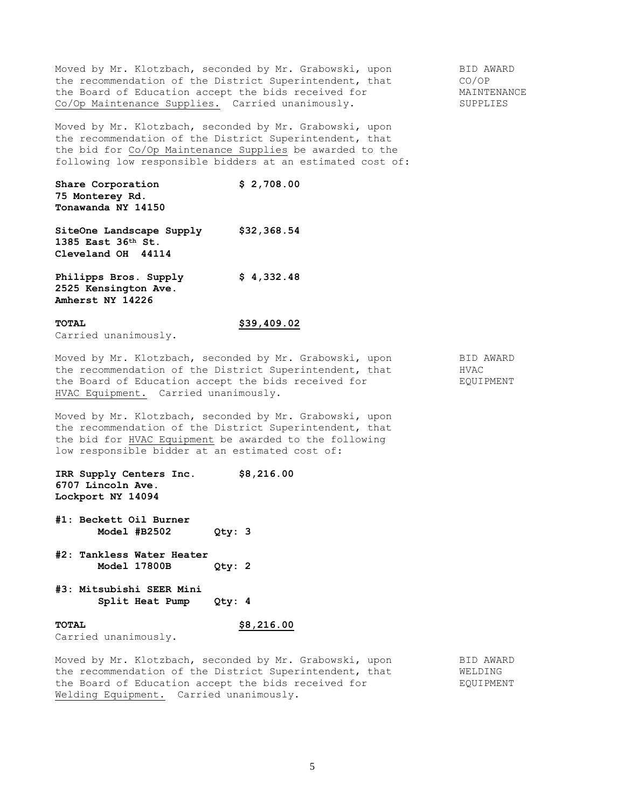Moved by Mr. Klotzbach, seconded by Mr. Grabowski, upon BID AWARD the recommendation of the District Superintendent, that CO/OP the Board of Education accept the bids received for MAINTENANCE Co/Op Maintenance Supplies. Carried unanimously. SUPPLIES

Moved by Mr. Klotzbach, seconded by Mr. Grabowski, upon the recommendation of the District Superintendent, that the bid for Co/Op Maintenance Supplies be awarded to the following low responsible bidders at an estimated cost of:

**Share Corporation \$ 2,708.00 75 Monterey Rd. Tonawanda NY 14150**

**SiteOne Landscape Supply \$32,368.54 1385 East 36th St. Cleveland OH 44114** 

**Philipps Bros. Supply \$ 4,332.48 2525 Kensington Ave. Amherst NY 14226**

# **TOTAL \$39,409.02**

Carried unanimously.

Moved by Mr. Klotzbach, seconded by Mr. Grabowski, upon BID AWARD the recommendation of the District Superintendent, that HVAC the Board of Education accept the bids received for FQUIPMENT HVAC Equipment. Carried unanimously.

Moved by Mr. Klotzbach, seconded by Mr. Grabowski, upon the recommendation of the District Superintendent, that the bid for HVAC Equipment be awarded to the following low responsible bidder at an estimated cost of:

**IRR Supply Centers Inc. \$8,216.00 6707 Lincoln Ave. Lockport NY 14094**

- **#1: Beckett Oil Burner Model #B2502 Qty: 3**
- **#2: Tankless Water Heater Model 17800B Qty: 2**
- **#3: Mitsubishi SEER Mini Split Heat Pump Qty: 4**

Carried unanimously.

**TOTAL \$8,216.00**

Moved by Mr. Klotzbach, seconded by Mr. Grabowski, upon BID AWARD the recommendation of the District Superintendent, that WELDING the Board of Education accept the bids received for FOUIPMENT Welding Equipment. Carried unanimously.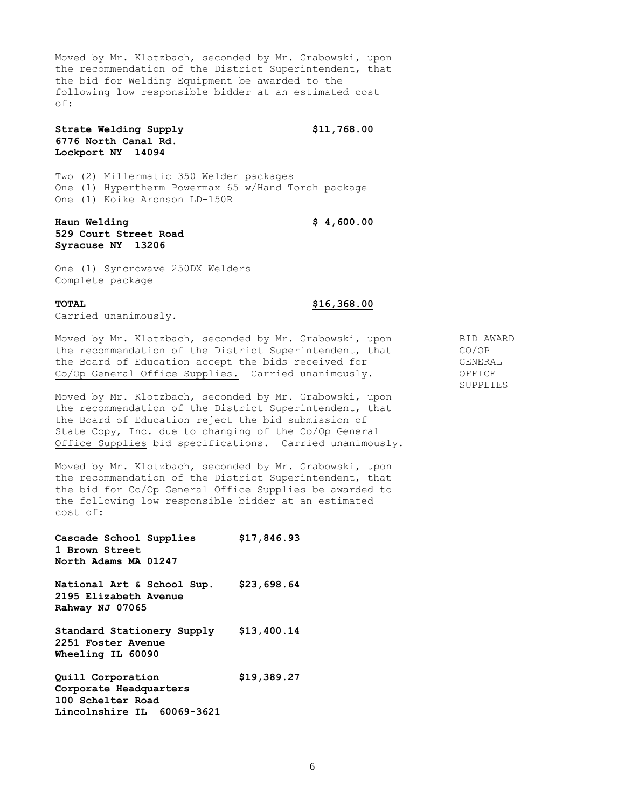Moved by Mr. Klotzbach, seconded by Mr. Grabowski, upon the recommendation of the District Superintendent, that the bid for Welding Equipment be awarded to the following low responsible bidder at an estimated cost of:

**Strate Welding Supply \$11,768.00 6776 North Canal Rd. Lockport NY 14094**

Two (2) Millermatic 350 Welder packages One (1) Hypertherm Powermax 65 w/Hand Torch package One (1) Koike Aronson LD-150R

**Haun Welding \$ 4,600.00 529 Court Street Road Syracuse NY 13206**

One (1) Syncrowave 250DX Welders Complete package

**TOTAL \$16,368.00**

Carried unanimously.

Moved by Mr. Klotzbach, seconded by Mr. Grabowski, upon BID AWARD the recommendation of the District Superintendent, that CO/OP the Board of Education accept the bids received for GENERAL Co/Op General Office Supplies. Carried unanimously. OFFICE

Moved by Mr. Klotzbach, seconded by Mr. Grabowski, upon the recommendation of the District Superintendent, that the Board of Education reject the bid submission of State Copy, Inc. due to changing of the Co/Op General Office Supplies bid specifications. Carried unanimously.

Moved by Mr. Klotzbach, seconded by Mr. Grabowski, upon the recommendation of the District Superintendent, that the bid for Co/Op General Office Supplies be awarded to the following low responsible bidder at an estimated cost of:

**Cascade School Supplies \$17,846.93 1 Brown Street North Adams MA 01247**

**National Art & School Sup. \$23,698.64 2195 Elizabeth Avenue Rahway NJ 07065**

**Standard Stationery Supply \$13,400.14 2251 Foster Avenue Wheeling IL 60090**

**Quill Corporation \$19,389.27 Corporate Headquarters 100 Schelter Road Lincolnshire IL 60069-3621**

SUPPLIES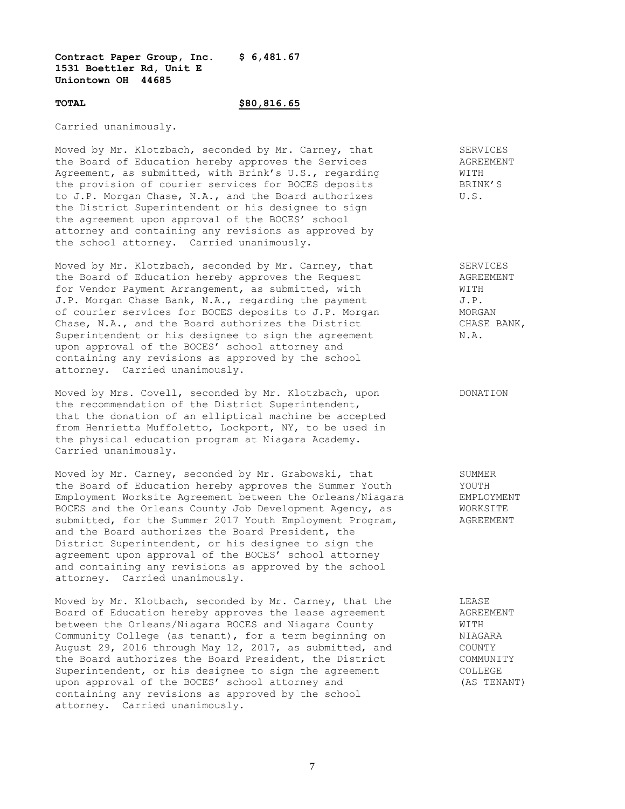## **Contract Paper Group, Inc. \$ 6,481.67 1531 Boettler Rd, Unit E Uniontown OH 44685**

### **TOTAL \$80,816.65**

Carried unanimously.

Moved by Mr. Klotzbach, seconded by Mr. Carney, that SERVICES the Board of Education hereby approves the Services AGREEMENT Agreement, as submitted, with Brink's U.S., regarding  $\texttt{WITH}$ the provision of courier services for BOCES deposits BRINK'S to J.P. Morgan Chase, N.A., and the Board authorizes U.S. the District Superintendent or his designee to sign the agreement upon approval of the BOCES' school attorney and containing any revisions as approved by the school attorney. Carried unanimously.

Moved by Mr. Klotzbach, seconded by Mr. Carney, that SERVICES the Board of Education hereby approves the Request Magnus AGREEMENT for Vendor Payment Arrangement, as submitted, with WITH J.P. Morgan Chase Bank, N.A., regarding the payment J.P. of courier services for BOCES deposits to J.P. Morgan MORGAN Chase, N.A., and the Board authorizes the District CHASE BANK, Superintendent or his designee to sign the agreement  $N.A.$ upon approval of the BOCES' school attorney and containing any revisions as approved by the school attorney. Carried unanimously.

Moved by Mrs. Covell, seconded by Mr. Klotzbach, upon DONATION the recommendation of the District Superintendent, that the donation of an elliptical machine be accepted from Henrietta Muffoletto, Lockport, NY, to be used in the physical education program at Niagara Academy. Carried unanimously.

Moved by Mr. Carney, seconded by Mr. Grabowski, that SUMMER<br>
the Board of Education hereby approves the Summer Youth YOUTH the Board of Education hereby approves the Summer Youth YOUTH Employment Worksite Agreement between the Orleans/Niagara EMPLOYMENT BOCES and the Orleans County Job Development Agency, as WORKSITE submitted, for the Summer 2017 Youth Employment Program, AGREEMENT and the Board authorizes the Board President, the District Superintendent, or his designee to sign the agreement upon approval of the BOCES' school attorney and containing any revisions as approved by the school attorney. Carried unanimously.

Moved by Mr. Klotbach, seconded by Mr. Carney, that the LEASE Board of Education hereby approves the lease agreement<br>between the Orleans/Niagara BOCES and Niagara County MITH WITH between the Orleans/Niagara BOCES and Niagara County **WITH** Community College (as tenant), for a term beginning on NIAGARA August 29, 2016 through May 12, 2017, as submitted, and COUNTY the Board authorizes the Board President, the District COMMUNITY Superintendent, or his designee to sign the agreement COLLEGE upon approval of the BOCES' school attorney and (AS TENANT) containing any revisions as approved by the school attorney. Carried unanimously.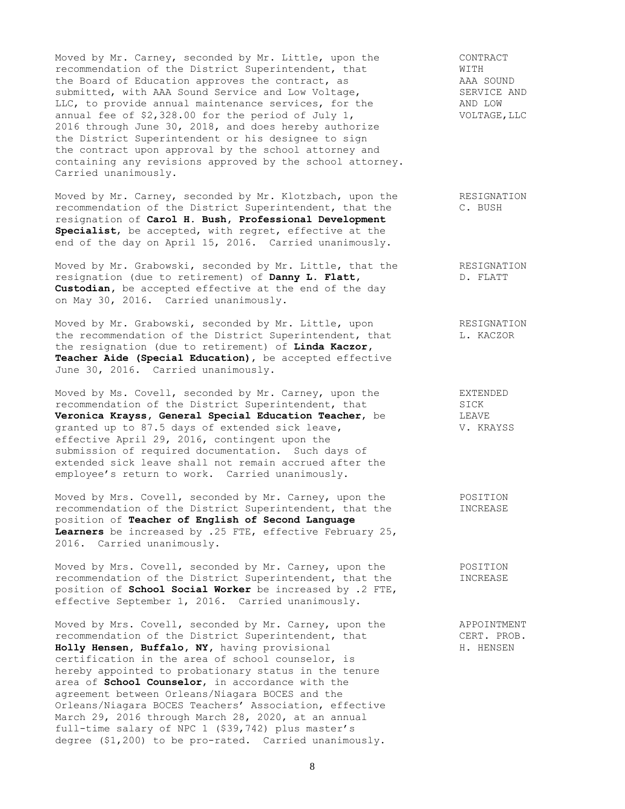Moved by Mr. Carney, seconded by Mr. Little, upon the CONTRACT recommendation of the District Superintendent, that WITH the Board of Education approves the contract, as AAA SOUND submitted, with AAA Sound Service and Low Voltage, SERVICE AND LLC, to provide annual maintenance services, for the AND LOW annual fee of \$2,328.00 for the period of July 1, VOLTAGE, LLC 2016 through June 30, 2018, and does hereby authorize the District Superintendent or his designee to sign the contract upon approval by the school attorney and containing any revisions approved by the school attorney. Carried unanimously.

Moved by Mr. Carney, seconded by Mr. Klotzbach, upon the RESIGNATION recommendation of the District Superintendent, that the C. BUSH resignation of **Carol H. Bush, Professional Development Specialist**, be accepted, with regret, effective at the end of the day on April 15, 2016. Carried unanimously.

Moved by Mr. Grabowski, seconded by Mr. Little, that the RESIGNATION resignation (due to retirement) of **Danny L. Flatt,** D. FLATT **Custodian,** be accepted effective at the end of the day on May 30, 2016. Carried unanimously.

Moved by Mr. Grabowski, seconded by Mr. Little, upon The RESIGNATION the recommendation of the District Superintendent, that  $L.$  KACZOR the resignation (due to retirement) of **Linda Kaczor, Teacher Aide (Special Education)**, be accepted effective June 30, 2016. Carried unanimously.

Moved by Ms. Covell, seconded by Mr. Carney, upon the EXTENDED recommendation of the District Superintendent, that SICK **Veronica Krayss, General Special Education Teacher**, be LEAVE granted up to 87.5 days of extended sick leave, V. KRAYSS effective April 29, 2016, contingent upon the submission of required documentation. Such days of extended sick leave shall not remain accrued after the employee's return to work. Carried unanimously.

Moved by Mrs. Covell, seconded by Mr. Carney, upon the POSITION recommendation of the District Superintendent, that the **INCREASE** position of **Teacher of English of Second Language Learners** be increased by .25 FTE, effective February 25, 2016. Carried unanimously.

Moved by Mrs. Covell, seconded by Mr. Carney, upon the POSITION recommendation of the District Superintendent, that the INCREASE position of **School Social Worker** be increased by .2 FTE, effective September 1, 2016. Carried unanimously.

Moved by Mrs. Covell, seconded by Mr. Carney, upon the APPOINTMENT recommendation of the District Superintendent, that CERT. PROB. Holly Hensen, Buffalo, NY, having provisional **H. H. HENSEN** certification in the area of school counselor, is hereby appointed to probationary status in the tenure area of **School Counselor**, in accordance with the agreement between Orleans/Niagara BOCES and the Orleans/Niagara BOCES Teachers' Association, effective March 29, 2016 through March 28, 2020, at an annual full-time salary of NPC 1 (\$39,742) plus master's degree (\$1,200) to be pro-rated. Carried unanimously.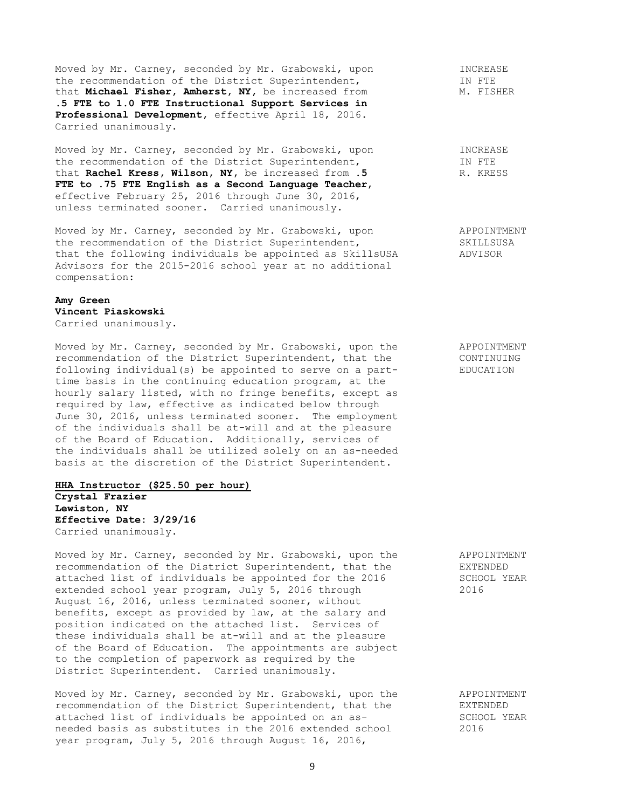Moved by Mr. Carney, seconded by Mr. Grabowski, upon TINCREASE<br>
the recommendation of the District Superintendent, TIN FTE the recommendation of the District Superintendent, that **Michael Fisher, Amherst, NY,** be increased from M. FISHER **.5 FTE to 1.0 FTE Instructional Support Services in Professional Development,** effective April 18, 2016. Carried unanimously.

Moved by Mr. Carney, seconded by Mr. Grabowski, upon INCREASE<br>the recommendation of the District Superintendent, The THE the recommendation of the District Superintendent, IN FTE<br>that **Rachel Kress, Wilson, NY**, be increased from .5 R. KRESS that Rachel Kress, Wilson, NY, be increased from .5 **FTE to .75 FTE English as a Second Language Teacher**, effective February 25, 2016 through June 30, 2016, unless terminated sooner. Carried unanimously.

Moved by Mr. Carney, seconded by Mr. Grabowski, upon APPOINTMENT the recommendation of the District Superintendent, SKILLSUSA that the following individuals be appointed as SkillsUSA ADVISOR Advisors for the 2015-2016 school year at no additional compensation:

# **Amy Green Vincent Piaskowski**

Carried unanimously.

Moved by Mr. Carney, seconded by Mr. Grabowski, upon the APPOINTMENT recommendation of the District Superintendent, that the CONTINUING following individual(s) be appointed to serve on a part- EDUCATION time basis in the continuing education program, at the hourly salary listed, with no fringe benefits, except as required by law, effective as indicated below through June 30, 2016, unless terminated sooner. The employment of the individuals shall be at-will and at the pleasure of the Board of Education. Additionally, services of the individuals shall be utilized solely on an as-needed basis at the discretion of the District Superintendent.

### **HHA Instructor (\$25.50 per hour) Crystal Frazier**

**Lewiston, NY Effective Date: 3/29/16** Carried unanimously.

Moved by Mr. Carney, seconded by Mr. Grabowski, upon the APPOINTMENT recommendation of the District Superintendent, that the EXTENDED attached list of individuals be appointed for the 2016 SCHOOL YEAR extended school year program, July 5, 2016 through 2016 August 16, 2016, unless terminated sooner, without benefits, except as provided by law, at the salary and position indicated on the attached list. Services of these individuals shall be at-will and at the pleasure of the Board of Education. The appointments are subject to the completion of paperwork as required by the District Superintendent. Carried unanimously.

Moved by Mr. Carney, seconded by Mr. Grabowski, upon the APPOINTMENT<br>recommendation of the District Superintendent, that the Expresses recommendation of the District Superintendent, that the attached list of individuals be appointed on an as- SCHOOL YEAR needed basis as substitutes in the 2016 extended school 2016 year program, July 5, 2016 through August 16, 2016,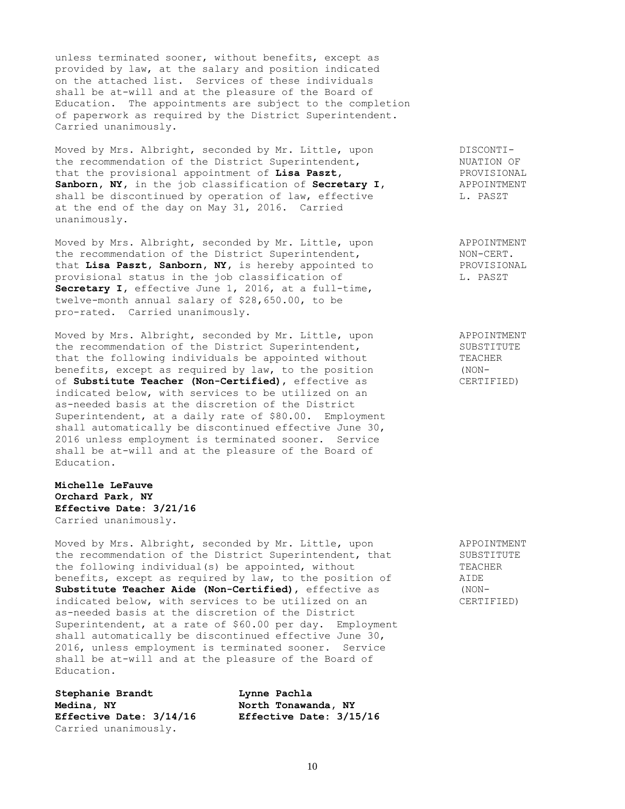unless terminated sooner, without benefits, except as provided by law, at the salary and position indicated on the attached list. Services of these individuals shall be at-will and at the pleasure of the Board of Education. The appointments are subject to the completion of paperwork as required by the District Superintendent. Carried unanimously.

Moved by Mrs. Albright, seconded by Mr. Little, upon DISCONTIthe recommendation of the District Superintendent, NUATION OF<br>
that the provisional appointment of **Lisa Paszt**, PROVISIONAL that the provisional appointment of **Lisa Paszt,** The Manuel PROVISIONAL Sanborn, NY, in the job classification of Secretary I, APPOINTMENT **Sanborn, NY,** in the job classification of **Secretary I**, shall be discontinued by operation of law, effective L. PASZT at the end of the day on May 31, 2016. Carried unanimously.

Moved by Mrs. Albright, seconded by Mr. Little, upon APPOINTMENT the recommendation of the District Superintendent, MON-CERT.<br>
that Lisa Paszt, Sanborn, NY, is hereby appointed to PROVISIONAL the recommendation of the District Superintendent,<br>that Lisa Paszt, Sanborn, NY, is hereby appointed to provisional status in the job classification of T. PASZT **Secretary I,** effective June 1, 2016, at a full-time, twelve-month annual salary of \$28,650.00, to be pro-rated. Carried unanimously.

Moved by Mrs. Albright, seconded by Mr. Little, upon APPOINTMENT the recommendation of the District Superintendent, SUBSTITUTE that the following individuals be appointed without TEACHER benefits, except as required by law, to the position (NON-<br>of **Substitute Teacher (Non-Certified)**, effective as (CERTIFIED) of **Substitute Teacher (Non-Certified)**, effective as indicated below, with services to be utilized on an as-needed basis at the discretion of the District Superintendent, at a daily rate of \$80.00. Employment shall automatically be discontinued effective June 30, 2016 unless employment is terminated sooner. Service shall be at-will and at the pleasure of the Board of Education.

# **Michelle LeFauve Orchard Park, NY Effective Date: 3/21/16** Carried unanimously.

Moved by Mrs. Albright, seconded by Mr. Little, upon and APPOINTMENT<br>the recommendation of the District Superintendent, that SUBSTITUTE the recommendation of the District Superintendent, that the following individual(s) be appointed, without TEACHER<br>benefits, except as required by law, to the position of AIDE benefits, except as required by law, to the position of **Substitute Teacher Aide (Non-Certified)**, effective as (NONindicated below, with services to be utilized on an CERTIFIED) as-needed basis at the discretion of the District Superintendent, at a rate of \$60.00 per day. Employment shall automatically be discontinued effective June 30, 2016, unless employment is terminated sooner. Service shall be at-will and at the pleasure of the Board of Education.

**Stephanie Brandt Lynne Pachla Medina, NY North Tonawanda, NY Effective Date: 3/14/16 Effective Date: 3/15/16** Carried unanimously.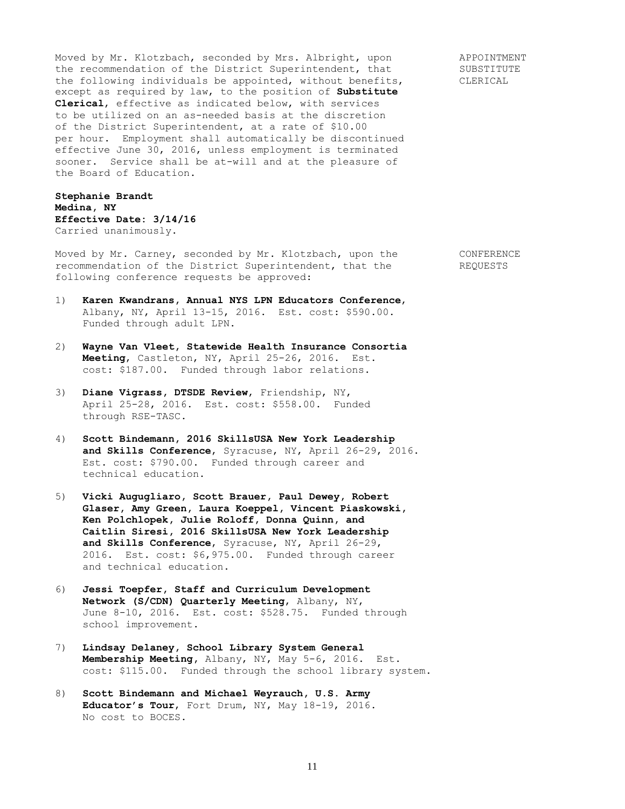Moved by Mr. Klotzbach, seconded by Mrs. Albright, upon APPOINTMENT the recommendation of the District Superintendent, that SUBSTITUTE the following individuals be appointed, without benefits, CLERICAL except as required by law, to the position of **Substitute Clerical**, effective as indicated below, with services to be utilized on an as-needed basis at the discretion of the District Superintendent, at a rate of \$10.00 per hour. Employment shall automatically be discontinued effective June 30, 2016, unless employment is terminated sooner. Service shall be at-will and at the pleasure of the Board of Education.

# **Stephanie Brandt Medina, NY Effective Date: 3/14/16** Carried unanimously.

Moved by Mr. Carney, seconded by Mr. Klotzbach, upon the CONFERENCE recommendation of the District Superintendent, that the REQUESTS following conference requests be approved:

- 1) **Karen Kwandrans, Annual NYS LPN Educators Conference**, Albany, NY, April 13-15, 2016. Est. cost: \$590.00. Funded through adult LPN.
- 2) **Wayne Van Vleet, Statewide Health Insurance Consortia Meeting**, Castleton, NY, April 25-26, 2016. Est. cost: \$187.00. Funded through labor relations.
- 3) **Diane Vigrass, DTSDE Review**, Friendship, NY, April 25-28, 2016. Est. cost: \$558.00. Funded through RSE-TASC.
- 4) **Scott Bindemann, 2016 SkillsUSA New York Leadership and Skills Conference**, Syracuse, NY, April 26-29, 2016. Est. cost: \$790.00. Funded through career and technical education.
- 5) **Vicki Augugliaro, Scott Brauer, Paul Dewey, Robert Glaser, Amy Green, Laura Koeppel, Vincent Piaskowski, Ken Polchlopek, Julie Roloff, Donna Quinn, and Caitlin Siresi, 2016 SkillsUSA New York Leadership and Skills Conference**, Syracuse, NY, April 26-29, 2016. Est. cost: \$6,975.00. Funded through career and technical education.
- 6) **Jessi Toepfer, Staff and Curriculum Development Network (S/CDN) Quarterly Meeting**, Albany, NY, June 8-10, 2016. Est. cost: \$528.75. Funded through school improvement.
- 7) **Lindsay Delaney, School Library System General Membership Meeting,** Albany, NY, May 5-6, 2016. Est. cost: \$115.00. Funded through the school library system.
- 8) **Scott Bindemann and Michael Weyrauch, U.S. Army Educator's Tour**, Fort Drum, NY, May 18-19, 2016. No cost to BOCES.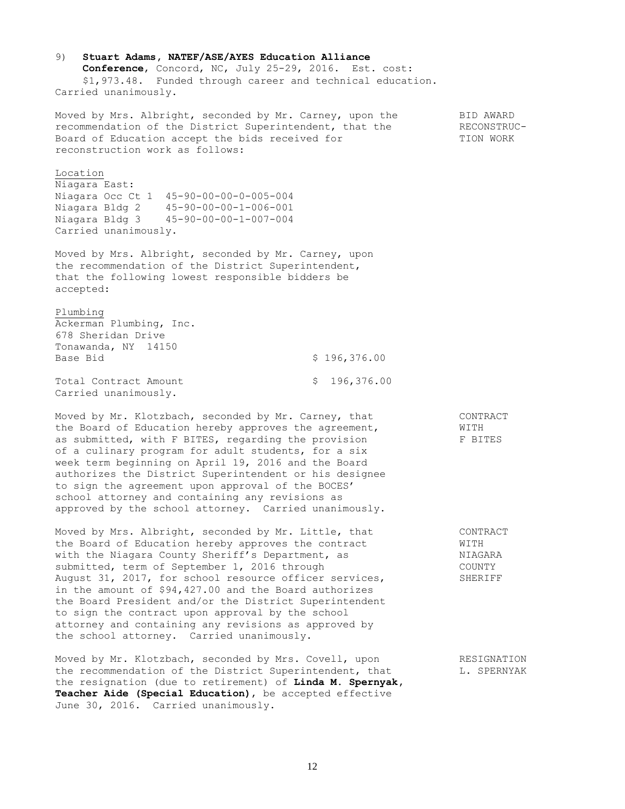| 9)<br>Stuart Adams, NATEF/ASE/AYES Education Alliance<br>Conference, Concord, NC, July 25-29, 2016. Est. cost:<br>\$1,973.48. Funded through career and technical education.<br>Carried unanimously.                                                                                                                                                                                                                                                                                                                                                  |                   |                                                  |
|-------------------------------------------------------------------------------------------------------------------------------------------------------------------------------------------------------------------------------------------------------------------------------------------------------------------------------------------------------------------------------------------------------------------------------------------------------------------------------------------------------------------------------------------------------|-------------------|--------------------------------------------------|
| Moved by Mrs. Albright, seconded by Mr. Carney, upon the<br>recommendation of the District Superintendent, that the<br>Board of Education accept the bids received for<br>reconstruction work as follows:                                                                                                                                                                                                                                                                                                                                             |                   | BID AWARD<br>RECONSTRUC-<br>TION WORK            |
| Location<br>Niagara East:<br>Niagara Occ Ct 1 45-90-00-00-0-005-004<br>Niagara Bldg 2<br>$45 - 90 - 00 - 00 - 1 - 006 - 001$<br>Niagara Bldg 3<br>$45 - 90 - 00 - 00 - 1 - 007 - 004$<br>Carried unanimously.                                                                                                                                                                                                                                                                                                                                         |                   |                                                  |
| Moved by Mrs. Albright, seconded by Mr. Carney, upon<br>the recommendation of the District Superintendent,<br>that the following lowest responsible bidders be<br>accepted:                                                                                                                                                                                                                                                                                                                                                                           |                   |                                                  |
| Plumbing<br>Ackerman Plumbing, Inc.<br>678 Sheridan Drive<br>Tonawanda, NY 14150<br>Base Bid                                                                                                                                                                                                                                                                                                                                                                                                                                                          | \$196,376.00      |                                                  |
| Total Contract Amount<br>Carried unanimously.                                                                                                                                                                                                                                                                                                                                                                                                                                                                                                         | 196,376.00<br>\$. |                                                  |
| Moved by Mr. Klotzbach, seconded by Mr. Carney, that<br>the Board of Education hereby approves the agreement,<br>as submitted, with F BITES, regarding the provision<br>of a culinary program for adult students, for a six<br>week term beginning on April 19, 2016 and the Board<br>authorizes the District Superintendent or his designee<br>to sign the agreement upon approval of the BOCES'<br>school attorney and containing any revisions as<br>approved by the school attorney. Carried unanimously.                                         |                   | CONTRACT<br>WITH<br>F BITES                      |
| Moved by Mrs. Albright, seconded by Mr. Little, that<br>the Board of Education hereby approves the contract<br>with the Niagara County Sheriff's Department, as<br>submitted, term of September 1, 2016 through<br>August 31, 2017, for school resource officer services,<br>in the amount of \$94,427.00 and the Board authorizes<br>the Board President and/or the District Superintendent<br>to sign the contract upon approval by the school<br>attorney and containing any revisions as approved by<br>the school attorney. Carried unanimously. |                   | CONTRACT<br>WITH<br>NIAGARA<br>COUNTY<br>SHERIFF |
| Moved by Mr. Klotzbach, seconded by Mrs. Covell, upon<br>the recommendation of the District Superintendent, that<br>the resignation (due to retirement) of Linda M. Spernyak,<br>Teacher Aide (Special Education), be accepted effective<br>June 30, 2016. Carried unanimously.                                                                                                                                                                                                                                                                       |                   | RESIGNATION<br>L. SPERNYAK                       |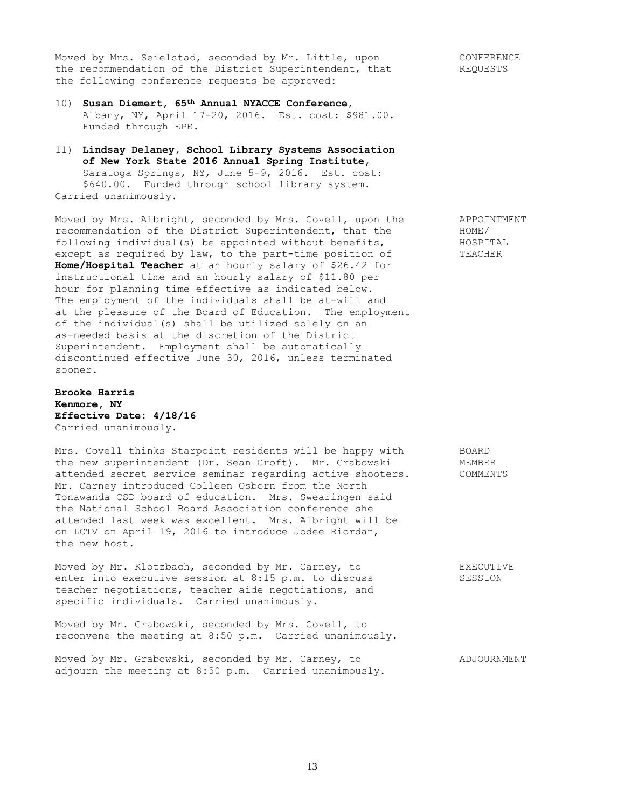Moved by Mrs. Seielstad, seconded by Mr. Little, upon CONFERENCE the recommendation of the District Superintendent, that  $REQUESTS$ <br>the following conference the following conference requests be approved:

- 10) **Susan Diemert, 65th Annual NYACCE Conference**, Albany, NY, April 17-20, 2016. Est. cost: \$981.00. Funded through EPE.
- 11) **Lindsay Delaney, School Library Systems Association of New York State 2016 Annual Spring Institute,** Saratoga Springs, NY, June 5-9, 2016. Est. cost: \$640.00. Funded through school library system. Carried unanimously.

Moved by Mrs. Albright, seconded by Mrs. Covell, upon the APPOINTMENT<br>recommendation of the District Superintendent, that the HOME/ recommendation of the District Superintendent, that the following individual(s) be appointed without benefits, HOSPITAL except as required by law, to the part-time position of TEACHER **Home/Hospital Teacher** at an hourly salary of \$26.42 for instructional time and an hourly salary of \$11.80 per hour for planning time effective as indicated below. The employment of the individuals shall be at-will and at the pleasure of the Board of Education. The employment of the individual(s) shall be utilized solely on an as-needed basis at the discretion of the District Superintendent. Employment shall be automatically discontinued effective June 30, 2016, unless terminated sooner.

**Brooke Harris Kenmore, NY Effective Date: 4/18/16** Carried unanimously.

Mrs. Covell thinks Starpoint residents will be happy with BOARD the new superintendent (Dr. Sean Croft). Mr. Grabowski MEMBER attended secret service seminar regarding active shooters. COMMENTS Mr. Carney introduced Colleen Osborn from the North Tonawanda CSD board of education. Mrs. Swearingen said the National School Board Association conference she attended last week was excellent. Mrs. Albright will be on LCTV on April 19, 2016 to introduce Jodee Riordan, the new host.

Moved by Mr. Klotzbach, seconded by Mr. Carney, to EXECUTIVE enter into executive session at 8:15 p.m. to discuss SESSION teacher negotiations, teacher aide negotiations, and specific individuals. Carried unanimously.

Moved by Mr. Grabowski, seconded by Mrs. Covell, to reconvene the meeting at 8:50 p.m. Carried unanimously.

Moved by Mr. Grabowski, seconded by Mr. Carney, to ADJOURNMENT adjourn the meeting at 8:50 p.m. Carried unanimously.